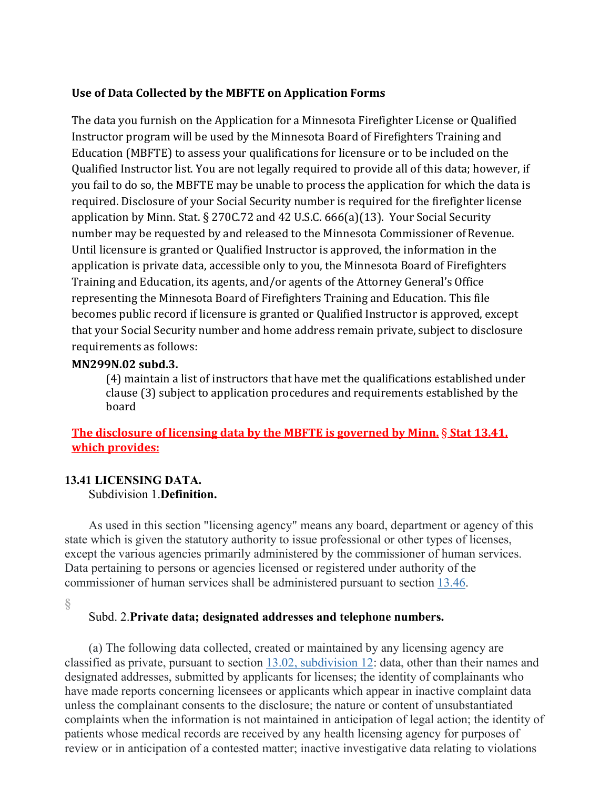# **Use of Data Collected by the MBFTE on Application Forms**

The data you furnish on the Application for a Minnesota Firefighter License or Qualified Instructor program will be used by the Minnesota Board of Firefighters Training and Education (MBFTE) to assess your qualifications for licensure or to be included on the Qualified Instructor list. You are not legally required to provide all of this data; however, if you fail to do so, the MBFTE may be unable to process the application for which the data is required. Disclosure of your Social Security number is required for the firefighter license application by Minn. Stat. § 270C.72 and 42 U.S.C. 666(a)(13). Your Social Security number may be requested by and released to the Minnesota Commissioner of Revenue. Until licensure is granted or Qualified Instructor is approved, the information in the application is private data, accessible only to you, the Minnesota Board of Firefighters Training and Education, its agents, and/or agents of the Attorney General's Office representing the Minnesota Board of Firefighters Training and Education. This file becomes public record if licensure is granted or Qualified Instructor is approved, except that your Social Security number and home address remain private, subject to disclosure requirements as follows:

**MN299N.02 subd.3. b State of Licenses 270C.72 - 270C.72 - 270C.72 - 270C.72** - **270C.72** (4) maintain a list of instructors that have met the qualifications established under clause (3) subject to application procedures and requirements established by the board

# **The disclosure of licensing data by the MBFTE is governed by Minn.** § **Stat 13.41, which provides:**

## **13.41 LICENSING DATA.** Subdivision 1.**Definition.**

As used in this section "licensing agency" means any board, department or agency of this state which is given the statutory authority to issue professional or other types of licenses, except the various agencies primarily administered by the commissioner of human services. Data pertaining to persons or agencies licensed or registered under authority of the commissioner of human services shall be administered pursuant to section [13.46.](https://www.revisor.mn.gov/statutes/cite/13.46)

**[§](https://www.revisor.mn.gov/statutes/cite/13.41#stat.13.41.2)**

## Subd. 2.**Private data; designated addresses and telephone numbers.**

(a) The following data collected, created or maintained by any licensing agency are classified as private, pursuant to section [13.02, subdivision 12:](https://www.revisor.mn.gov/statutes/cite/13.02#stat.13.02.12) data, other than their names and designated addresses, submitted by applicants for licenses; the identity of complainants who have made reports concerning licensees or applicants which appear in inactive complaint data unless the complainant consents to the disclosure; the nature or content of unsubstantiated complaints when the information is not maintained in anticipation of legal action; the identity of patients whose medical records are received by any health licensing agency for purposes of review or in anticipation of a contested matter; inactive investigative data relating to violations